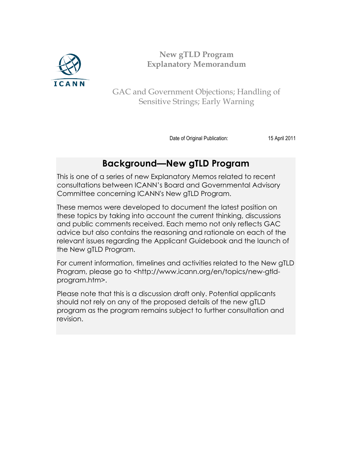

**New gTLD Program Explanatory Memorandum**

GAC and Government Objections; Handling of Sensitive Strings; Early Warning

Date of Original Publication: 15 April 2011

# **Background—New gTLD Program**

This is one of a series of new Explanatory Memos related to recent consultations between ICANN's Board and Governmental Advisory Committee concerning ICANN's New gTLD Program.

These memos were developed to document the latest position on these topics by taking into account the current thinking, discussions and public comments received. Each memo not only reflects GAC advice but also contains the reasoning and rationale on each of the relevant issues regarding the Applicant Guidebook and the launch of the New gTLD Program.

For current information, timelines and activities related to the New gTLD Program, please go to <http://www.icann.org/en/topics/new-gtldprogram.htm>.

Please note that this is a discussion draft only. Potential applicants should not rely on any of the proposed details of the new gTLD program as the program remains subject to further consultation and revision.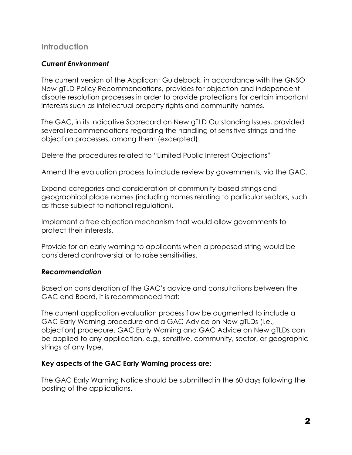# **Introduction**

## *Current Environment*

The current version of the Applicant Guidebook, in accordance with the GNSO New gTLD Policy Recommendations, provides for objection and independent dispute resolution processes in order to provide protections for certain important interests such as intellectual property rights and community names.

The GAC, in its Indicative Scorecard on New gTLD Outstanding Issues, provided several recommendations regarding the handling of sensitive strings and the objection processes, among them (excerpted):

Delete the procedures related to "Limited Public Interest Objections"

Amend the evaluation process to include review by governments, via the GAC.

Expand categories and consideration of community-based strings and geographical place names (including names relating to particular sectors, such as those subject to national regulation).

Implement a free objection mechanism that would allow governments to protect their interests.

Provide for an early warning to applicants when a proposed string would be considered controversial or to raise sensitivities.

#### *Recommendation*

Based on consideration of the GAC's advice and consultations between the GAC and Board, it is recommended that:

The current application evaluation process flow be augmented to include a GAC Early Warning procedure and a GAC Advice on New gTLDs (i.e., objection) procedure. GAC Early Warning and GAC Advice on New gTLDs can be applied to any application, e.g., sensitive, community, sector, or geographic strings of any type.

#### **Key aspects of the GAC Early Warning process are:**

The GAC Early Warning Notice should be submitted in the 60 days following the posting of the applications.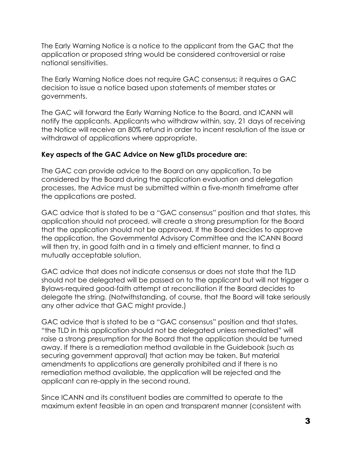The Early Warning Notice is a notice to the applicant from the GAC that the application or proposed string would be considered controversial or raise national sensitivities.

The Early Warning Notice does not require GAC consensus; it requires a GAC decision to issue a notice based upon statements of member states or governments.

The GAC will forward the Early Warning Notice to the Board, and ICANN will notify the applicants. Applicants who withdraw within, say, 21 days of receiving the Notice will receive an 80% refund in order to incent resolution of the issue or withdrawal of applications where appropriate.

### **Key aspects of the GAC Advice on New gTLDs procedure are:**

The GAC can provide advice to the Board on any application. To be considered by the Board during the application evaluation and delegation processes, the Advice must be submitted within a five-month timeframe after the applications are posted.

GAC advice that is stated to be a "GAC consensus" position and that states, this application should not proceed, will create a strong presumption for the Board that the application should not be approved. If the Board decides to approve the application, the Governmental Advisory Committee and the ICANN Board will then try, in good faith and in a timely and efficient manner, to find a mutually acceptable solution.

GAC advice that does not indicate consensus or does not state that the TLD should not be delegated will be passed on to the applicant but will not trigger a Bylaws-required good-faith attempt at reconciliation if the Board decides to delegate the string. (Notwithstanding, of course, that the Board will take seriously any other advice that GAC might provide.)

GAC advice that is stated to be a "GAC consensus" position and that states, "the TLD in this application should not be delegated unless remediated" will raise a strong presumption for the Board that the application should be turned away. If there is a remediation method available in the Guidebook (such as securing government approval) that action may be taken. But material amendments to applications are generally prohibited and if there is no remediation method available, the application will be rejected and the applicant can re-apply in the second round.

Since ICANN and its constituent bodies are committed to operate to the maximum extent feasible in an open and transparent manner (consistent with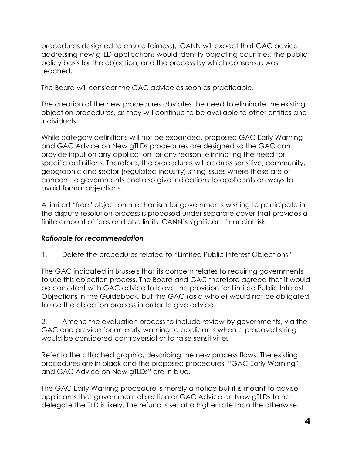procedures designed to ensure fairness), ICANN will expect that GAC advice addressing new gTLD applications would identify objecting countries, the public policy basis for the objection, and the process by which consensus was reached.

The Board will consider the GAC advice as soon as practicable.

The creation of the new procedures obviates the need to eliminate the existing objection procedures, as they will continue to be available to other entities and individuals.

While category definitions will not be expanded, proposed GAC Early Warning and GAC Advice on New gTLDs procedures are designed so the GAC can provide input on any application for any reason, eliminating the need for specific definitions. Therefore, the procedures will address sensitive, community, geographic and sector (regulated industry) string issues where these are of concern to governments and also give indications to applicants on ways to avoid formal objections.

A limited "free" objection mechanism for governments wishing to participate in the dispute resolution process is proposed under separate cover that provides a finite amount of fees and also limits ICANN's significant financial risk.

# *Rationale for recommendation*

1. Delete the procedures related to "Limited Public Interest Objections"

The GAC indicated in Brussels that its concern relates to requiring governments to use this objection process. The Board and GAC therefore agreed that it would be consistent with GAC advice to leave the provision for Limited Public Interest Objections in the Guidebook, but the GAC (as a whole) would not be obligated to use the objection process in order to give advice.

2. Amend the evaluation process to include review by governments, via the GAC and provide for an early warning to applicants when a proposed string would be considered controversial or to raise sensitivities

Refer to the attached graphic, describing the new process flows. The existing procedures are in black and the proposed procedures, "GAC Early Warning" and GAC Advice on New gTLDs" are in blue.

The GAC Early Warning procedure is merely a notice but it is meant to advise applicants that government objection or GAC Advice on New gTLDs to not delegate the TLD is likely. The refund is set at a higher rate than the otherwise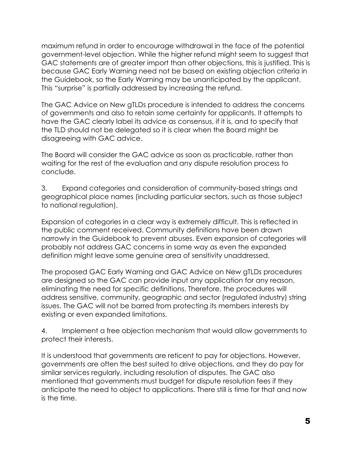maximum refund in order to encourage withdrawal in the face of the potential government-level objection. While the higher refund might seem to suggest that GAC statements are of greater import than other objections, this is justified. This is because GAC Early Warning need not be based on existing objection criteria in the Guidebook, so the Early Warning may be unanticipated by the applicant. This "surprise" is partially addressed by increasing the refund.

The GAC Advice on New gTLDs procedure is intended to address the concerns of governments and also to retain some certainty for applicants. It attempts to have the GAC clearly label its advice as consensus, if it is, and to specify that the TLD should not be delegated so it is clear when the Board might be disagreeing with GAC advice.

The Board will consider the GAC advice as soon as practicable, rather than waiting for the rest of the evaluation and any dispute resolution process to conclude.

3. Expand categories and consideration of community-based strings and geographical place names (including particular sectors, such as those subject to national regulation).

Expansion of categories in a clear way is extremely difficult. This is reflected in the public comment received. Community definitions have been drawn narrowly in the Guidebook to prevent abuses. Even expansion of categories will probably not address GAC concerns in some way as even the expanded definition might leave some genuine area of sensitivity unaddressed.

The proposed GAC Early Warning and GAC Advice on New gTLDs procedures are designed so the GAC can provide input any application for any reason, eliminating the need for specific definitions. Therefore, the procedures will address sensitive, community, geographic and sector (regulated industry) string issues. The GAC will not be barred from protecting its members interests by existing or even expanded limitations.

4. Implement a free objection mechanism that would allow governments to protect their interests.

It is understood that governments are reticent to pay for objections. However, governments are often the best suited to drive objections, and they do pay for similar services regularly, including resolution of disputes. The GAC also mentioned that governments must budget for dispute resolution fees if they anticipate the need to object to applications. There still is time for that and now is the time.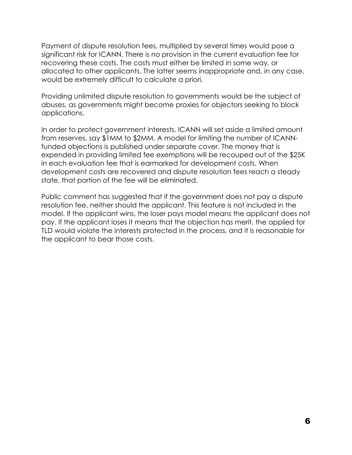Payment of dispute resolution fees, multiplied by several times would pose a significant risk for ICANN. There is no provision in the current evaluation fee for recovering these costs. The costs must either be limited in some way, or allocated to other applicants. The latter seems inappropriate and, in any case, would be extremely difficult to calculate a priori.

Providing unlimited dispute resolution to governments would be the subject of abuses, as governments might become proxies for objectors seeking to block applications.

In order to protect government interests, ICANN will set aside a limited amount from reserves, say \$1MM to \$2MM. A model for limiting the number of ICANNfunded objections is published under separate cover. The money that is expended in providing limited fee exemptions will be recouped out of the \$25K in each evaluation fee that is earmarked for development costs. When development costs are recovered and dispute resolution fees reach a steady state, that portion of the fee will be eliminated.

Public comment has suggested that if the government does not pay a dispute resolution fee, neither should the applicant. This feature is not included in the model. If the applicant wins, the loser pays model means the applicant does not pay. If the applicant loses it means that the objection has merit, the applied for TLD would violate the interests protected in the process, and it is reasonable for the applicant to bear those costs.